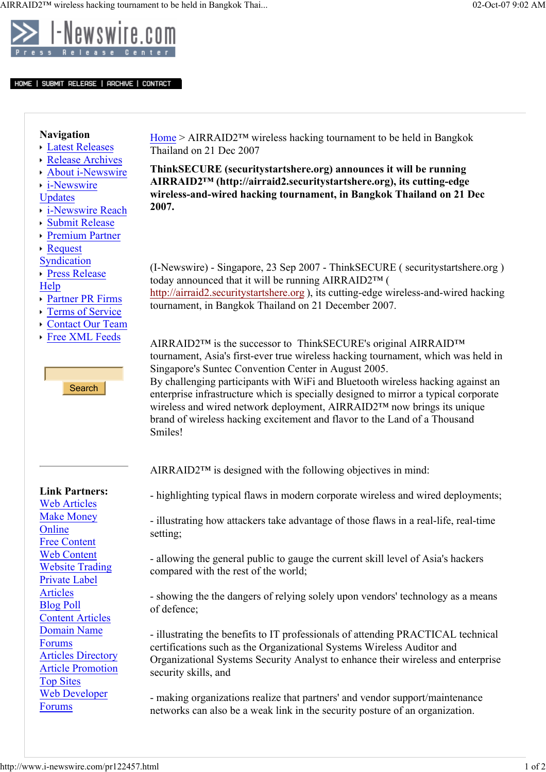

HOME | SUBMIT RELEASE | ARCHIVE | CONTACT

## Navigation

- Latest Releases
- Release Archives
- About i-Newswire
- i-Newswire
- Updates
- i-Newswire Reach
- Submit Release
- Premium Partner
- Request

Syndication

Press Release Help

- Partner PR Firms
- Terms of Service
- Contact Our Team
- Free XML Feeds

**Search** 

Smiles!

Link Partners: Web Articles Make Money

**Online** 

Free Content Web Content Website Trading Private Label Articles Blog Poll

Content Articles Domain Name

Articles Directory Article Promotion

Web Developer

Forums

Top Sites

Forums

Home > AIRRAID2™ wireless hacking tournament to be held in Bangkok Thailand on 21 Dec 2007

ThinkSECURE (securitystartshere.org) announces it will be running AIRRAID2™ (http://airraid2.securitystartshere.org), its cutting-edge wireless-and-wired hacking tournament, in Bangkok Thailand on 21 Dec 2007.

(I-Newswire) - Singapore, 23 Sep 2007 - ThinkSECURE ( securitystartshere.org ) today announced that it will be running AIRRAID2™ ( http://airraid2.securitystartshere.org ), its cutting-edge wireless-and-wired hacking tournament, in Bangkok Thailand on 21 December 2007.

AIRRAID2™ is the successor to ThinkSECURE's original AIRRAID™ tournament, Asia's first-ever true wireless hacking tournament, which was held in Singapore's Suntec Convention Center in August 2005. By challenging participants with WiFi and Bluetooth wireless hacking against an enterprise infrastructure which is specially designed to mirror a typical corporate wireless and wired network deployment, AIRRAID2™ now brings its unique brand of wireless hacking excitement and flavor to the Land of a Thousand

AIRRAID2™ is designed with the following objectives in mind:

- highlighting typical flaws in modern corporate wireless and wired deployments;

- illustrating how attackers take advantage of those flaws in a real-life, real-time setting;

- allowing the general public to gauge the current skill level of Asia's hackers compared with the rest of the world;

- showing the the dangers of relying solely upon vendors' technology as a means of defence;

- illustrating the benefits to IT professionals of attending PRACTICAL technical certifications such as the Organizational Systems Wireless Auditor and Organizational Systems Security Analyst to enhance their wireless and enterprise security skills, and

- making organizations realize that partners' and vendor support/maintenance networks can also be a weak link in the security posture of an organization.

http://www.i-newswire.com/pr122457.html  $1 \text{ of } 2$